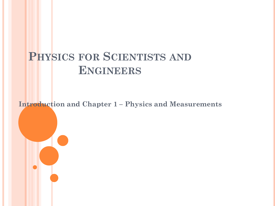# **PHYSICS FOR SCIENTISTS AND ENGINEERS**

**Introduction and Chapter 1 – Physics and Measurements**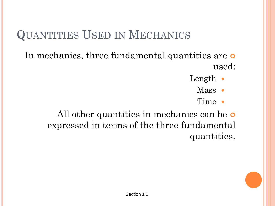# QUANTITIES USED IN MECHANICS

- In mechanics, three fundamental quantities are o used:
	- Length  $\bullet$ 
		- Mass •
		- Time  $\bullet$

All other quantities in mechanics can be o expressed in terms of the three fundamental quantities.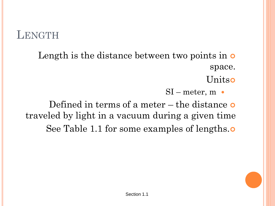### **LENGTH**

- Length is the distance between two points in  $\circ$ space.
	- **Unitso**
	- $SI$  meter, m •

Defined in terms of a meter  $-$  the distance  $\bullet$ traveled by light in a vacuum during a given time See Table 1.1 for some examples of lengths.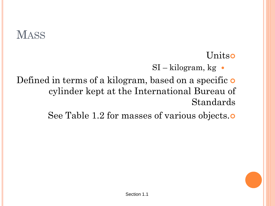# **MASS**

**Unitso** 

 $SI - kilogram$ , kg  $\bullet$ 

Defined in terms of a kilogram, based on a specific o cylinder kept at the International Bureau of Standards

See Table 1.2 for masses of various objects.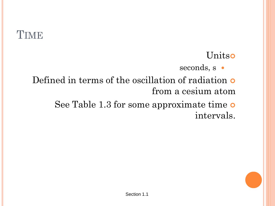### **TIME**

#### **Unitso**

- seconds, s  $\bullet$
- Defined in terms of the oscillation of radiation from a cesium atom
	- See Table 1.3 for some approximate time intervals.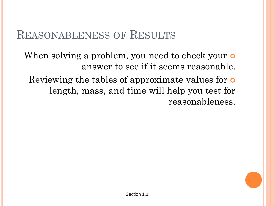### REASONABLENESS OF RESULTS

When solving a problem, you need to check your **o** answer to see if it seems reasonable.

Reviewing the tables of approximate values for **o** length, mass, and time will help you test for reasonableness.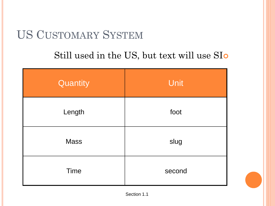# US CUSTOMARY SYSTEM

#### Still used in the US, but text will use SI

| Quantity    | Unit   |  |
|-------------|--------|--|
| Length      | foot   |  |
| <b>Mass</b> | slug   |  |
| <b>Time</b> | second |  |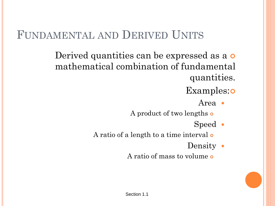## FUNDAMENTAL AND DERIVED UNITS

Derived quantities can be expressed as a  $\circ$ mathematical combination of fundamental quantities.

#### Examples:**o**

Area

A product of two lengths

Speed  $\bullet$ 

A ratio of a length to a time interval of

- Density •
- A ratio of mass to volume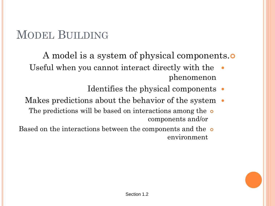# MODEL BUILDING

- A model is a system of physical components.
- Useful when you cannot interact directly with the phenomenon
	- Identifies the physical components •
- Makes predictions about the behavior of the system  $\bullet$ 
	- The predictions will be based on interactions among the o components and/or
- Based on the interactions between the components and the  $\circ$ environment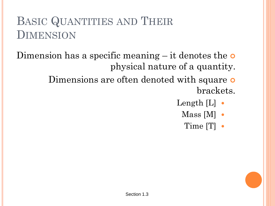# BASIC QUANTITIES AND THEIR DIMENSION

- Dimension has a specific meaning  $-$  it denotes the  $\circ$ physical nature of a quantity.
	- Dimensions are often denoted with square o brackets.
		- Length  $[L]$   $\bullet$ 
			- $Mass [M] \bullet$ 
				- Time [T]  $\bullet$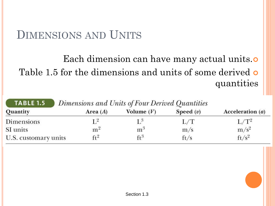### DIMENSIONS AND UNITS

### Each dimension can have many actual units. Table 1.5 for the dimensions and units of some derived **o** quantities

| <b>TABLE 1.5</b>     | Dimensions and Units of Four Derived Quantities |                 |             |                    |
|----------------------|-------------------------------------------------|-----------------|-------------|--------------------|
| Quantity             | Area $(A)$                                      | Volume $(V)$    | Speed $(v)$ | Acceleration $(a)$ |
| Dimensions           | $1^{2}$                                         | $L^3$           | L/T         | $L/T^2$            |
| SI units             | m <sup>2</sup>                                  | m <sup>3</sup>  | m/s         | $m/s^2$            |
| U.S. customary units | $ft$ <sup>2</sup>                               | $\mathsf{ft}^3$ | ft/s        | $ft/s^2$           |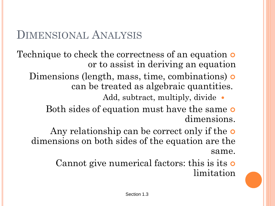### DIMENSIONAL ANALYSIS

- Technique to check the correctness of an equation **o** or to assist in deriving an equation
	- Dimensions (length, mass, time, combinations) **o** can be treated as algebraic quantities.
		- Add, subtract, multiply, divide •
		- Both sides of equation must have the same of dimensions.
		- Any relationship can be correct only if the **o** dimensions on both sides of the equation are the same.
			- Cannot give numerical factors: this is its o limitation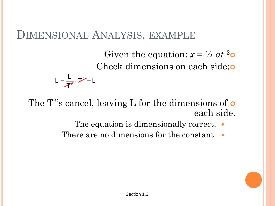#### DIMENSIONAL ANALYSIS, EXAMPLE

Given the equation:  $x = \frac{1}{2}at^2$ Check dimensions on each side:

 $\mathcal{V} = \mathsf{L}$ T L  $\mathsf{L} = \frac{\mathsf{L}}{\mathsf{L}} \cdot \mathsf{P}$  $=$   $\frac{1}{2}$   $\cdot$   $\frac{1}{2}$   $=$ 

The  $T^2$ 's cancel, leaving L for the dimensions of  $\bullet$ each side.

- The equation is dimensionally correct. •
- There are no dimensions for the constant.  $\bullet$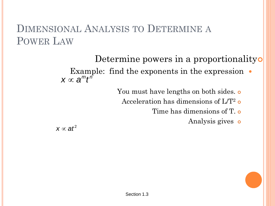#### DIMENSIONAL ANALYSIS TO DETERMINE A POWER LAW

Determine powers in a proportionality

Example: find the exponents in the expression  $\bullet$  $\boldsymbol{\mathsf{X}} \propto \boldsymbol{\mathsf{a}}^m t^n$ 

You must have lengths on both sides. o

Acceleration has dimensions of  $\mathrm{L/T^2}$  o

Time has dimensions of T.  $\circ$ 

Analysis gives **o** 

 $\pmb{\mathsf{X}} \propto \pmb{\mathsf{a}} \pmb{t}^2$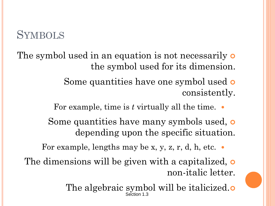### **SYMBOLS**

- The symbol used in an equation is not necessarily **o** the symbol used for its dimension.
	- Some quantities have one symbol used **o** consistently.
	- For example, time is *t* virtually all the time.
	- Some quantities have many symbols used, **o** depending upon the specific situation.
	- For example, lengths may be x, y, z, r, d, h, etc.  $\bullet$
	- The dimensions will be given with a capitalized, o non-italic letter.
		- The algebraic symbol will be italicized. Section 1.3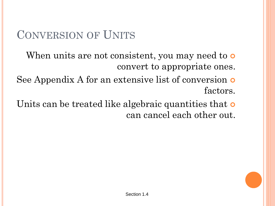# CONVERSION OF UNITS

- When units are not consistent, you may need to **o** convert to appropriate ones.
- See Appendix A for an extensive list of conversion  $\circ$ factors.
- Units can be treated like algebraic quantities that **o** can cancel each other out.